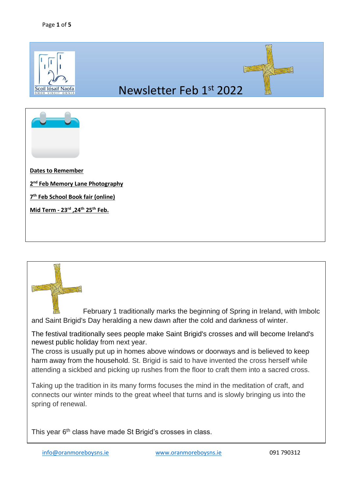

February 1 traditionally marks the beginning of Spring in Ireland, with Imbolc and Saint Brigid's Day heralding a new dawn after the cold and darkness of winter.

The festival traditionally sees people make Saint Brigid's crosses and will [become Ireland's](https://www.irishmirror.ie/news/irish-news/bank-holiday-dates-ireland-every-25685164)  [newest public holiday](https://www.irishmirror.ie/news/irish-news/bank-holiday-dates-ireland-every-25685164) from next year.

The cross is usually put up in homes above windows or doorways and is believed to keep harm away from the household. St. Brigid is said to have invented the cross herself while attending a sickbed and picking up rushes from the floor to craft them into a sacred cross.

Taking up the tradition in its many forms focuses the mind in the meditation of craft, and connects our winter minds to the great wheel that turns and is slowly bringing us into the spring of renewal.

This year 6<sup>th</sup> class have made St Brigid's crosses in class.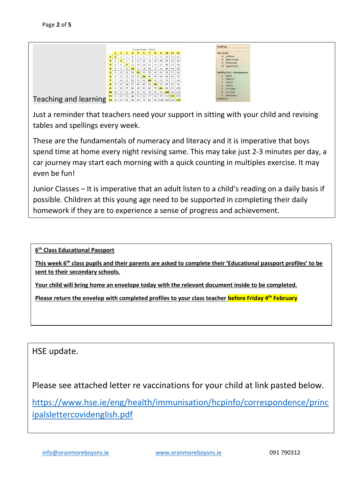

Just a reminder that teachers need your support in sitting with your child and revising tables and spellings every week.

These are the fundamentals of numeracy and literacy and it is imperative that boys spend time at home every night revising same. This may take just 2-3 minutes per day, a car journey may start each morning with a quick counting in multiples exercise. It may even be fun!

Junior Classes – It is imperative that an adult listen to a child's reading on a daily basis if possible. Children at this young age need to be supported in completing their daily homework if they are to experience a sense of progress and achievement.

**6 th Class Educational Passport** 

**This week 6th class pupils and their parents are asked to complete their 'Educational passport profiles' to be sent to their secondary schools.** 

**Your child will bring home an envelope today with the relevant document inside to be completed.** 

**Please return the envelop with completed profiles to your class teacher before Friday 4 th February**

HSE update.

Please see attached letter re vaccinations for your child at link pasted below.

[https://www.hse.ie/eng/health/immunisation/hcpinfo/correspondence/princ](https://www.hse.ie/eng/health/immunisation/hcpinfo/correspondence/principalslettercovidenglish.pdf) [ipalslettercovidenglish.pdf](https://www.hse.ie/eng/health/immunisation/hcpinfo/correspondence/principalslettercovidenglish.pdf)

[info@oranmoreboysns.ie](mailto:info@oranmoreboysns.ie) [www.oranmoreboysns.ie](http://www.oranmoreboysns.i/) 091 790312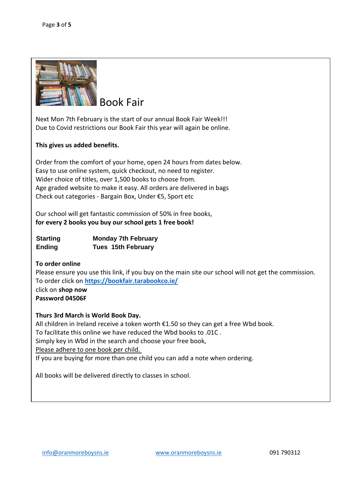

Book Fair

Next Mon 7th February is the start of our annual Book Fair Week!!! Due to Covid restrictions our Book Fair this year will again be online.

### **This gives us added benefits.**

Order from the comfort of your home, open 24 hours from dates below. Easy to use online system, quick checkout, no need to register. Wider choice of titles, over 1,500 books to choose from. Age graded website to make it easy. All orders are delivered in bags Check out categories - Bargain Box, Under €5, Sport etc

Our school will get fantastic commission of 50% in free books, **for every 2 books you buy our school gets 1 free book!**

| <b>Starting</b> | <b>Monday 7th February</b> |
|-----------------|----------------------------|
| <b>Ending</b>   | <b>Tues 15th February</b>  |

### **To order online**

Please ensure you use this link, if you buy on the main site our school will not get the commission. To order click on **<https://bookfair.tarabookco.ie/>** click on **shop now Password 04506F**

### **Thurs 3rd March is World Book Day.**

All children in Ireland receive a token worth €1.50 so they can get a free Wbd book. To facilitate this online we have reduced the Wbd books to .01C . Simply key in Wbd in the search and choose your free book, Please adhere to one book per child. If you are buying for more than one child you can add a note when ordering.

All books will be delivered directly to classes in school.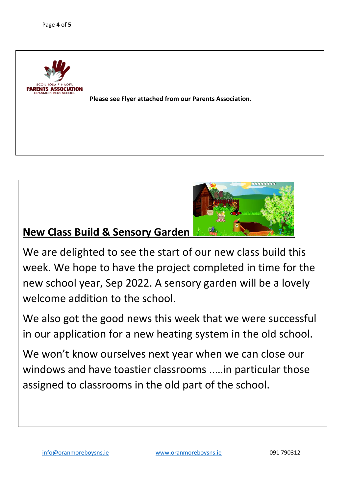



# **New Class Build & Sensory Garden**

We are delighted to see the start of our new class build this week. We hope to have the project completed in time for the new school year, Sep 2022. A sensory garden will be a lovely welcome addition to the school.

We also got the good news this week that we were successful in our application for a new heating system in the old school.

We won't know ourselves next year when we can close our windows and have toastier classrooms ..…in particular those assigned to classrooms in the old part of the school.